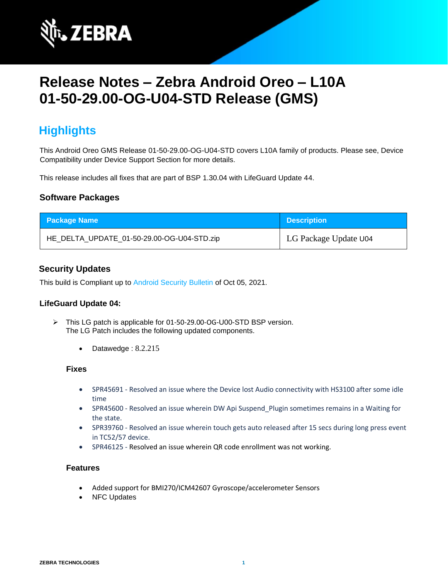

# **Release Notes – Zebra Android Oreo – L10A 01-50-29.00-OG-U04-STD Release (GMS)**

## **Highlights**

This Android Oreo GMS Release 01-50-29.00-OG-U04-STD covers L10A family of products. Please see, Device Compatibility under Device Support Section for more details.

This release includes all fixes that are part of BSP 1.30.04 with LifeGuard Update 44.

#### **Software Packages**

| <b>Package Name</b>                        | <b>Description</b>    |
|--------------------------------------------|-----------------------|
| HE_DELTA_UPDATE_01-50-29.00-OG-U04-STD.zip | LG Package Update U04 |

#### **Security Updates**

This build is Compliant up to [Android Security Bulletin](https://source.android.com/security/bulletin/) of Oct 05, 2021.

#### **LifeGuard Update 04:**

- ➢ This LG patch is applicable for 01-50-29.00-OG-U00-STD BSP version. The LG Patch includes the following updated components.
	- Datawedge : 8.2.215

#### **Fixes**

- SPR45691 Resolved an issue where the Device lost Audio connectivity with HS3100 after some idle time
- SPR45600 Resolved an issue wherein DW Api Suspend\_Plugin sometimes remains in a Waiting for the state.
- SPR39760 Resolved an issue wherein touch gets auto released after 15 secs during long press event in TC52/57 device.
- SPR46125 Resolved an issue wherein QR code enrollment was not working.

#### **Features**

- Added support for BMI270/ICM42607 Gyroscope/accelerometer Sensors
- NFC Updates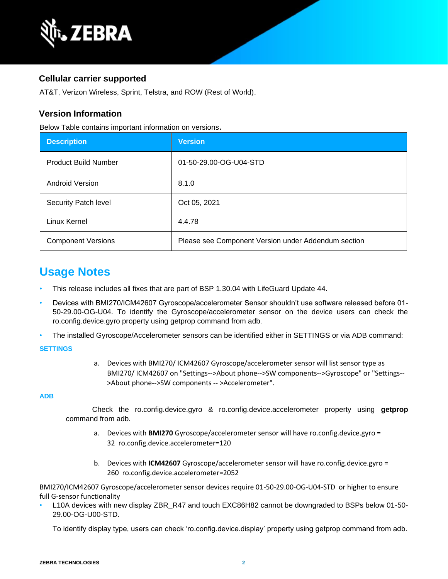

#### **Cellular carrier supported**

AT&T, Verizon Wireless, Sprint, Telstra, and ROW (Rest of World).

#### **Version Information**

Below Table contains important information on versions**.**

| <b>Description</b>          | <b>Version</b>                                      |
|-----------------------------|-----------------------------------------------------|
| <b>Product Build Number</b> | 01-50-29.00-OG-U04-STD                              |
| <b>Android Version</b>      | 8.1.0                                               |
| Security Patch level        | Oct 05, 2021                                        |
| Linux Kernel                | 4.4.78                                              |
| <b>Component Versions</b>   | Please see Component Version under Addendum section |

## **Usage Notes**

- This release includes all fixes that are part of BSP 1.30.04 with LifeGuard Update 44.
- Devices with BMI270/ICM42607 Gyroscope/accelerometer Sensor shouldn't use software released before 01- 50-29.00-OG-U04. To identify the Gyroscope/accelerometer sensor on the device users can check the ro.config.device.gyro property using getprop command from adb.
- The installed Gyroscope/Accelerometer sensors can be identified either in SETTINGS or via ADB command:

#### **SETTINGS**

a. Devices with BMI270/ ICM42607 Gyroscope/accelerometer sensor will list sensor type as BMI270/ ICM42607 on "Settings-->About phone-->SW components-->Gyroscope" or "Settings-- >About phone-->SW components -- >Accelerometer".

#### **ADB**

Check the ro.config.device.gyro & ro.config.device.accelerometer property using **getprop** command from adb.

- a. Devices with **BMI270** Gyroscope/accelerometer sensor will have ro.config.device.gyro = 32 ro.config.device.accelerometer=120
- b. Devices with **ICM42607** Gyroscope/accelerometer sensor will have ro.config.device.gyro = 260 ro.config.device.accelerometer=2052

BMI270/ICM42607 Gyroscope/accelerometer sensor devices require 01-50-29.00-OG-U04-STD or higher to ensure full G-sensor functionality

• L10A devices with new display ZBR\_R47 and touch EXC86H82 cannot be downgraded to BSPs below 01-50- 29.00-OG-U00-STD.

To identify display type, users can check 'ro.config.device.display' property using getprop command from adb.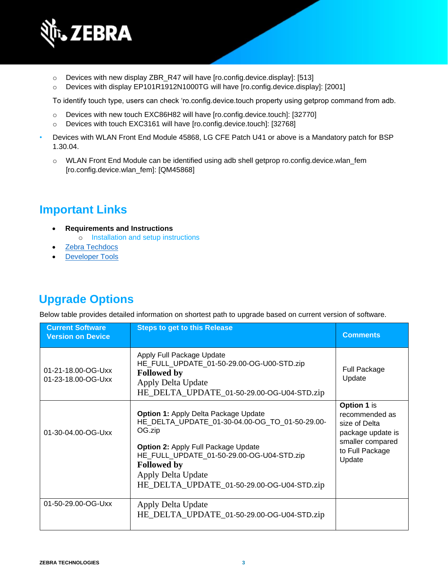

- o Devices with new display ZBR\_R47 will have [ro.config.device.display]: [513]
- o Devices with display EP101R1912N1000TG will have [ro.config.device.display]: [2001]

To identify touch type, users can check 'ro.config.device.touch property using getprop command from adb.

- o Devices with new touch EXC86H82 will have [ro.config.device.touch]: [32770]
- o Devices with touch EXC3161 will have [ro.config.device.touch]: [32768]
- Devices with WLAN Front End Module 45868, LG CFE Patch U41 or above is a Mandatory patch for BSP 1.30.04.
	- o WLAN Front End Module can be identified using adb shell getprop ro.config.device.wlan\_fem [ro.config.device.wlan\_fem]: [QM45868]

## **Important Links**

- **Requirements and Instructions** 
	- o [Installation and setup instructions](https://www.zebra.com/content/dam/zebra_new_ia/en-us/software/operating-system/helios/oreo-os-update-instructions.pdf)
- [Zebra Techdocs](https://techdocs.zebra.com/)
- **[Developer Tools](https://developer.zebra.com/)**

## **Upgrade Options**

Below table provides detailed information on shortest path to upgrade based on current version of software.

| <b>Current Software</b><br><b>Version on Device</b> | <b>Steps to get to this Release</b>                                                                                                                                                                                                                                                          | <b>Comments</b>                                                                                                      |
|-----------------------------------------------------|----------------------------------------------------------------------------------------------------------------------------------------------------------------------------------------------------------------------------------------------------------------------------------------------|----------------------------------------------------------------------------------------------------------------------|
| 01-21-18.00-OG-Uxx<br>01-23-18.00-OG-Uxx            | Apply Full Package Update<br>HE FULL UPDATE 01-50-29.00-OG-U00-STD.zip<br><b>Followed by</b><br>Apply Delta Update<br>HE_DELTA_UPDATE_01-50-29.00-OG-U04-STD.zip                                                                                                                             | <b>Full Package</b><br>Update                                                                                        |
| 01-30-04.00-OG-Uxx                                  | <b>Option 1: Apply Delta Package Update</b><br>HE DELTA UPDATE 01-30-04.00-OG TO 01-50-29.00-<br>OG.zip<br><b>Option 2: Apply Full Package Update</b><br>HE_FULL_UPDATE_01-50-29.00-OG-U04-STD.zip<br><b>Followed by</b><br>Apply Delta Update<br>HE_DELTA_UPDATE_01-50-29.00-OG-U04-STD.zip | Option 1 is<br>recommended as<br>size of Delta<br>package update is<br>smaller compared<br>to Full Package<br>Update |
| 01-50-29.00-OG-Uxx                                  | Apply Delta Update<br>HE_DELTA_UPDATE_01-50-29.00-OG-U04-STD.zip                                                                                                                                                                                                                             |                                                                                                                      |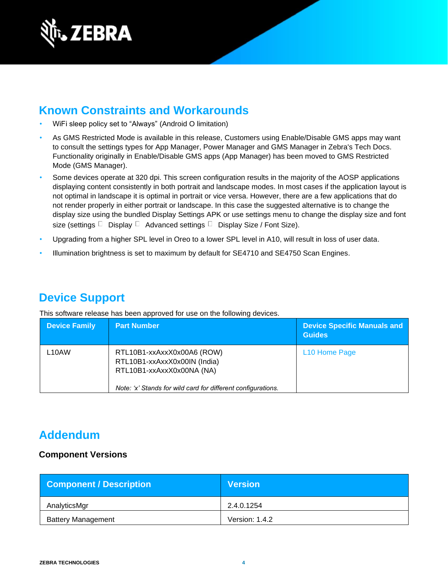

## **Known Constraints and Workarounds**

- WiFi sleep policy set to "Always" (Android O limitation)
- As GMS Restricted Mode is available in this release, Customers using Enable/Disable GMS apps may want to consult the settings types for App Manager, Power Manager and GMS Manager in Zebra's Tech Docs. Functionality originally in Enable/Disable GMS apps (App Manager) has been moved to GMS Restricted Mode (GMS Manager).
- Some devices operate at 320 dpi. This screen configuration results in the majority of the AOSP applications displaying content consistently in both portrait and landscape modes. In most cases if the application layout is not optimal in landscape it is optimal in portrait or vice versa. However, there are a few applications that do not render properly in either portrait or landscape. In this case the suggested alternative is to change the display size using the bundled Display Settings APK or use settings menu to change the display size and font size (settings  $\Box$  Display  $\Box$  Advanced settings  $\Box$  Display Size / Font Size).
- Upgrading from a higher SPL level in Oreo to a lower SPL level in A10, will result in loss of user data.
- Illumination brightness is set to maximum by default for SE4710 and SE4750 Scan Engines.

### **Device Support**

This software release has been approved for use on the following devices.

| <b>Device Family</b> | <b>Part Number</b>                                                                                                                                      | <b>Device Specific Manuals and</b><br><b>Guides</b> |
|----------------------|---------------------------------------------------------------------------------------------------------------------------------------------------------|-----------------------------------------------------|
| L <sub>10</sub> AW   | RTL10B1-xxAxxX0x00A6 (ROW)<br>RTL10B1-xxAxxX0x00IN (India)<br>RTL10B1-xxAxxX0x00NA (NA)<br>Note: 'x' Stands for wild card for different configurations. | L <sub>10</sub> Home Page                           |

### **Addendum**

#### **Component Versions**

| <b>Component / Description</b> | <b>Version</b> |
|--------------------------------|----------------|
| AnalyticsMgr                   | 2.4.0.1254     |
| <b>Battery Management</b>      | Version: 1.4.2 |